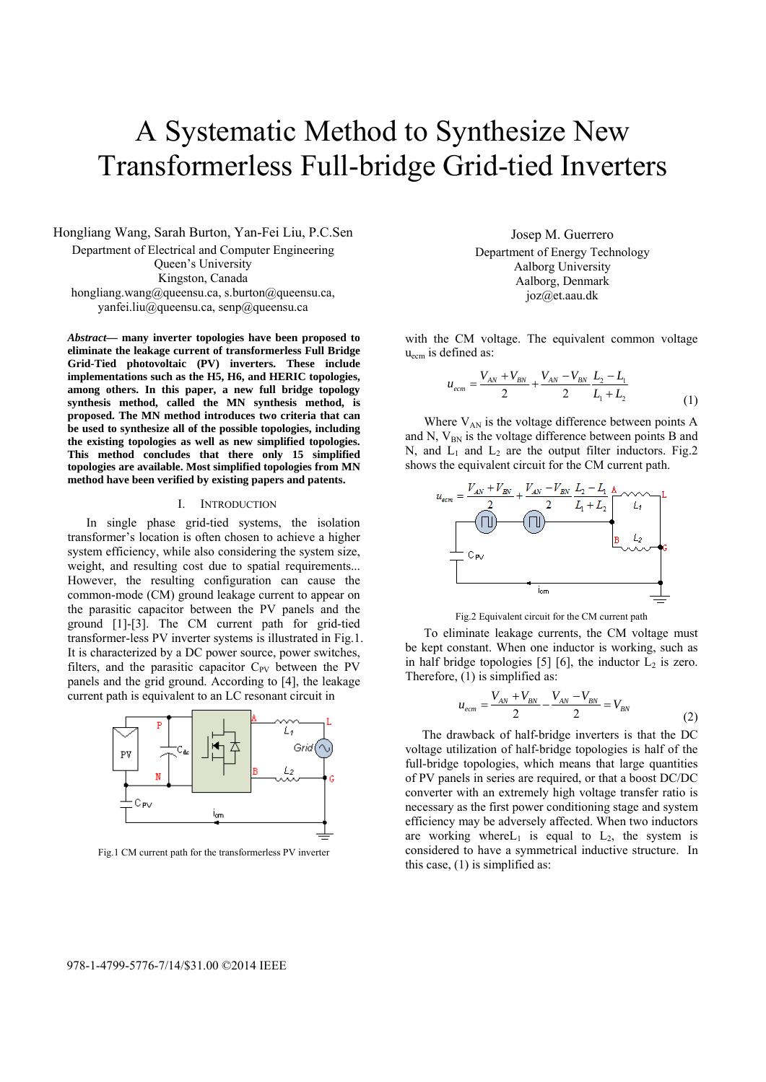# A Systematic Method to Synthesize New Transformerless Full-bridge Grid-tied Inverters

Hongliang Wang, Sarah Burton, Yan-Fei Liu, P.C.Sen Department of Electrical and Computer Engineering Queen's University Kingston, Canada hongliang.wang@queensu.ca, s.burton@queensu.ca, yanfei.liu@queensu.ca, senp@queensu.ca

*Abstract***— many inverter topologies have been proposed to eliminate the leakage current of transformerless Full Bridge Grid-Tied photovoltaic (PV) inverters. These include implementations such as the H5, H6, and HERIC topologies, among others. In this paper, a new full bridge topology synthesis method, called the MN synthesis method, is proposed. The MN method introduces two criteria that can be used to synthesize all of the possible topologies, including the existing topologies as well as new simplified topologies. This method concludes that there only 15 simplified topologies are available. Most simplified topologies from MN method have been verified by existing papers and patents.** 

#### I. INTRODUCTION

In single phase grid-tied systems, the isolation transformer's location is often chosen to achieve a higher system efficiency, while also considering the system size, weight, and resulting cost due to spatial requirements... However, the resulting configuration can cause the common-mode (CM) ground leakage current to appear on the parasitic capacitor between the PV panels and the ground [1]-[3]. The CM current path for grid-tied transformer-less PV inverter systems is illustrated in Fig.1. It is characterized by a DC power source, power switches, filters, and the parasitic capacitor  $C_{PV}$  between the PV panels and the grid ground. According to [4], the leakage current path is equivalent to an LC resonant circuit in



Fig.1 CM current path for the transformerless PV inverter

Josep M. Guerrero Department of Energy Technology Aalborg University Aalborg, Denmark joz@et.aau.dk

with the CM voltage. The equivalent common voltage  $u_{\text{ecm}}$  is defined as:

$$
u_{ecm} = \frac{V_{AN} + V_{BN}}{2} + \frac{V_{AN} - V_{BN}}{2} \frac{L_2 - L_1}{L_1 + L_2}
$$
(1)

Where  $V_{AN}$  is the voltage difference between points A and N,  $V_{BN}$  is the voltage difference between points B and N, and  $L_1$  and  $L_2$  are the output filter inductors. Fig.2 shows the equivalent circuit for the CM current path.



Fig.2 Equivalent circuit for the CM current path

To eliminate leakage currents, the CM voltage must be kept constant. When one inductor is working, such as in half bridge topologies [5] [6], the inductor  $L_2$  is zero. Therefore, (1) is simplified as:

$$
u_{em} = \frac{V_{AN} + V_{BN}}{2} - \frac{V_{AN} - V_{BN}}{2} = V_{BN}
$$
 (2)

 The drawback of half-bridge inverters is that the DC voltage utilization of half-bridge topologies is half of the full-bridge topologies, which means that large quantities of PV panels in series are required, or that a boost DC/DC converter with an extremely high voltage transfer ratio is necessary as the first power conditioning stage and system efficiency may be adversely affected. When two inductors are working where  $L_1$  is equal to  $L_2$ , the system is considered to have a symmetrical inductive structure. In this case, (1) is simplified as: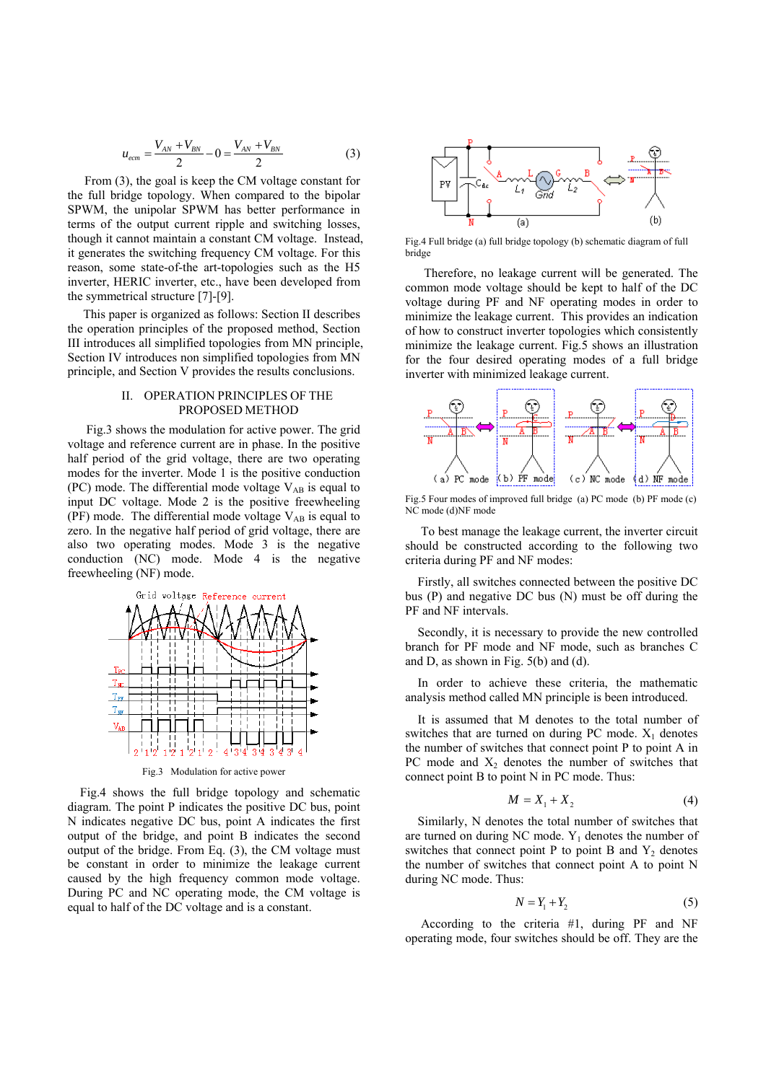$$
u_{ecm} = \frac{V_{AN} + V_{BN}}{2} - 0 = \frac{V_{AN} + V_{BN}}{2}
$$
 (3)

 From (3), the goal is keep the CM voltage constant for the full bridge topology. When compared to the bipolar SPWM, the unipolar SPWM has better performance in terms of the output current ripple and switching losses, though it cannot maintain a constant CM voltage. Instead, it generates the switching frequency CM voltage. For this reason, some state-of-the art-topologies such as the H5 inverter, HERIC inverter, etc., have been developed from the symmetrical structure [7]-[9].

 This paper is organized as follows: Section II describes the operation principles of the proposed method, Section III introduces all simplified topologies from MN principle, Section IV introduces non simplified topologies from MN principle, and Section V provides the results conclusions.

# II. OPERATION PRINCIPLES OF THE PROPOSED METHOD

Fig.3 shows the modulation for active power. The grid voltage and reference current are in phase. In the positive half period of the grid voltage, there are two operating modes for the inverter. Mode 1 is the positive conduction (PC) mode. The differential mode voltage  $V_{AB}$  is equal to input DC voltage. Mode 2 is the positive freewheeling (PF) mode. The differential mode voltage  $V_{AB}$  is equal to zero. In the negative half period of grid voltage, there are also two operating modes. Mode 3 is the negative conduction (NC) mode. Mode 4 is the negative freewheeling (NF) mode.



Fig.3 Modulation for active power

 Fig.4 shows the full bridge topology and schematic diagram. The point P indicates the positive DC bus, point N indicates negative DC bus, point A indicates the first output of the bridge, and point B indicates the second output of the bridge. From Eq. (3), the CM voltage must be constant in order to minimize the leakage current caused by the high frequency common mode voltage. During PC and NC operating mode, the CM voltage is equal to half of the DC voltage and is a constant.



Fig.4 Full bridge (a) full bridge topology (b) schematic diagram of full bridge

Therefore, no leakage current will be generated. The common mode voltage should be kept to half of the DC voltage during PF and NF operating modes in order to minimize the leakage current. This provides an indication of how to construct inverter topologies which consistently minimize the leakage current. Fig.5 shows an illustration for the four desired operating modes of a full bridge inverter with minimized leakage current.



Fig.5 Four modes of improved full bridge (a) PC mode (b) PF mode (c) NC mode (d)NF mode

 To best manage the leakage current, the inverter circuit should be constructed according to the following two criteria during PF and NF modes:

Firstly, all switches connected between the positive DC bus (P) and negative DC bus (N) must be off during the PF and NF intervals.

 Secondly, it is necessary to provide the new controlled branch for PF mode and NF mode, such as branches C and D, as shown in Fig. 5(b) and (d).

 In order to achieve these criteria, the mathematic analysis method called MN principle is been introduced.

 It is assumed that M denotes to the total number of switches that are turned on during PC mode.  $X_1$  denotes the number of switches that connect point P to point A in PC mode and  $X_2$  denotes the number of switches that connect point B to point N in PC mode. Thus:

$$
M = X_1 + X_2 \tag{4}
$$

Similarly, N denotes the total number of switches that are turned on during NC mode.  $Y_1$  denotes the number of switches that connect point P to point B and  $Y_2$  denotes the number of switches that connect point A to point N during NC mode. Thus:

$$
N = Y_1 + Y_2 \tag{5}
$$

 According to the criteria #1, during PF and NF operating mode, four switches should be off. They are the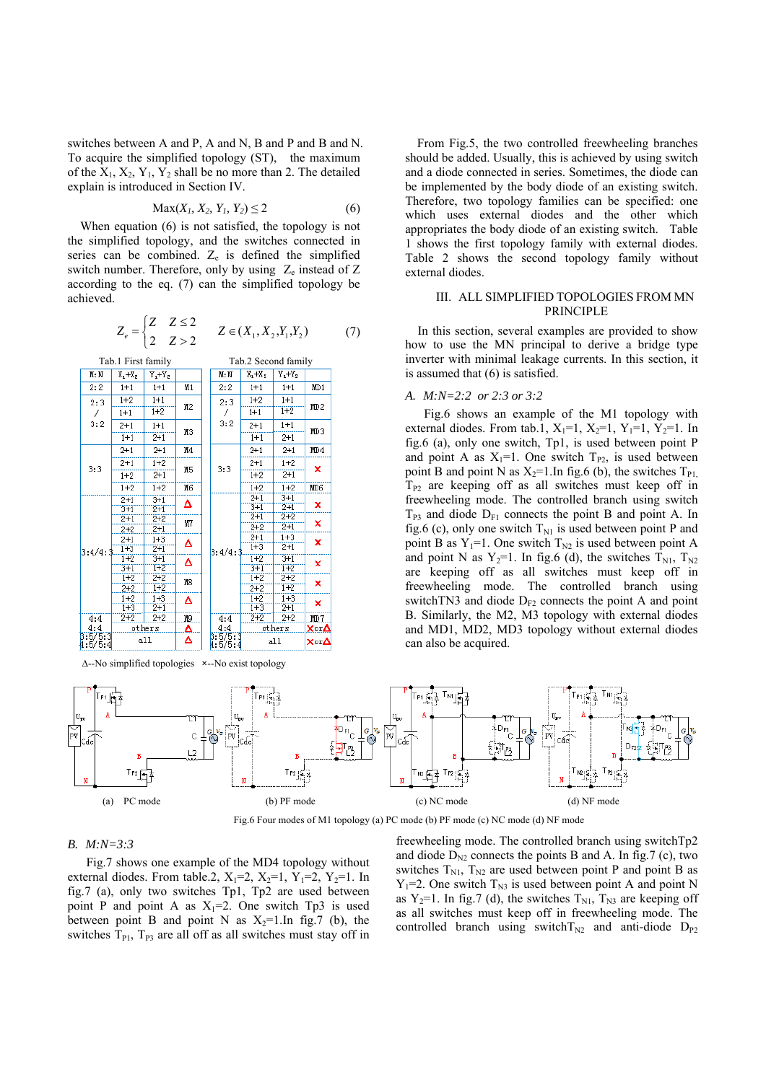switches between A and P, A and N, B and P and B and N. To acquire the simplified topology (ST), the maximum of the  $X_1, X_2, Y_1, Y_2$  shall be no more than 2. The detailed explain is introduced in Section IV.

$$
Max(X_1, X_2, Y_1, Y_2) \le 2
$$
 (6)

 When equation (6) is not satisfied, the topology is not the simplified topology, and the switches connected in series can be combined.  $Z_e$  is defined the simplified switch number. Therefore, only by using  $Z_e$  instead of Z according to the eq. (7) can the simplified topology be achieved.

$$
Z_e = \begin{cases} Z & Z \le 2 \\ 2 & Z > 2 \end{cases} \qquad Z \in (X_1, X_2, Y_1, Y_2) \tag{7}
$$



∆--No simplified topologies **×**--No exist topology

From Fig.5, the two controlled freewheeling branches should be added. Usually, this is achieved by using switch and a diode connected in series. Sometimes, the diode can be implemented by the body diode of an existing switch. Therefore, two topology families can be specified: one which uses external diodes and the other which appropriates the body diode of an existing switch. Table 1 shows the first topology family with external diodes. Table 2 shows the second topology family without external diodes.

# III. ALL SIMPLIFIED TOPOLOGIES FROM MN **PRINCIPLE**

 In this section, several examples are provided to show how to use the MN principal to derive a bridge type inverter with minimal leakage currents. In this section, it is assumed that (6) is satisfied.

#### *A. M:N=2:2 or 2:3 or 3:2*

Fig.6 shows an example of the M1 topology with external diodes. From tab.1,  $X_1=1$ ,  $X_2=1$ ,  $Y_1=1$ ,  $Y_2=1$ . In fig.6 (a), only one switch, Tp1, is used between point P and point A as  $X_1=1$ . One switch  $T_{P2}$ , is used between point B and point N as  $X_2=1$ . In fig. 6 (b), the switches  $T_{PL}$  $T_{P2}$  are keeping off as all switches must keep off in freewheeling mode. The controlled branch using switch  $T_{P3}$  and diode  $D_{F1}$  connects the point B and point A. In fig.6 (c), only one switch  $T_{N1}$  is used between point P and point B as  $Y_1=1$ . One switch  $T_{N2}$  is used between point A and point N as  $Y_2=1$ . In fig.6 (d), the switches  $T_{N1}$ ,  $T_{N2}$ are keeping off as all switches must keep off in freewheeling mode. The controlled branch using switchTN3 and diode  $D_{F2}$  connects the point A and point B. Similarly, the M2, M3 topology with external diodes and MD1, MD2, MD3 topology without external diodes can also be acquired.



Fig.6 Four modes of M1 topology (a) PC mode (b) PF mode (c) NC mode (d) NF mode

### *B. M:N=3:3*

Fig.7 shows one example of the MD4 topology without external diodes. From table.2,  $X_1=2$ ,  $X_2=1$ ,  $Y_1=2$ ,  $Y_2=1$ . In fig.7 (a), only two switches Tp1, Tp2 are used between point P and point A as  $X_1=2$ . One switch Tp3 is used between point B and point N as  $X_2=1$ . In fig. 7 (b), the switches  $T_{P1}$ ,  $T_{P3}$  are all off as all switches must stay off in freewheeling mode. The controlled branch using switchTp2 and diode  $D_{N2}$  connects the points B and A. In fig.7 (c), two switches  $T_{N1}$ ,  $T_{N2}$  are used between point P and point B as  $Y_1=2$ . One switch  $T_{N3}$  is used between point A and point N as  $Y_2=1$ . In fig.7 (d), the switches  $T_{N1}$ ,  $T_{N3}$  are keeping off as all switches must keep off in freewheeling mode. The controlled branch using switch  $T_{N2}$  and anti-diode  $D_{P2}$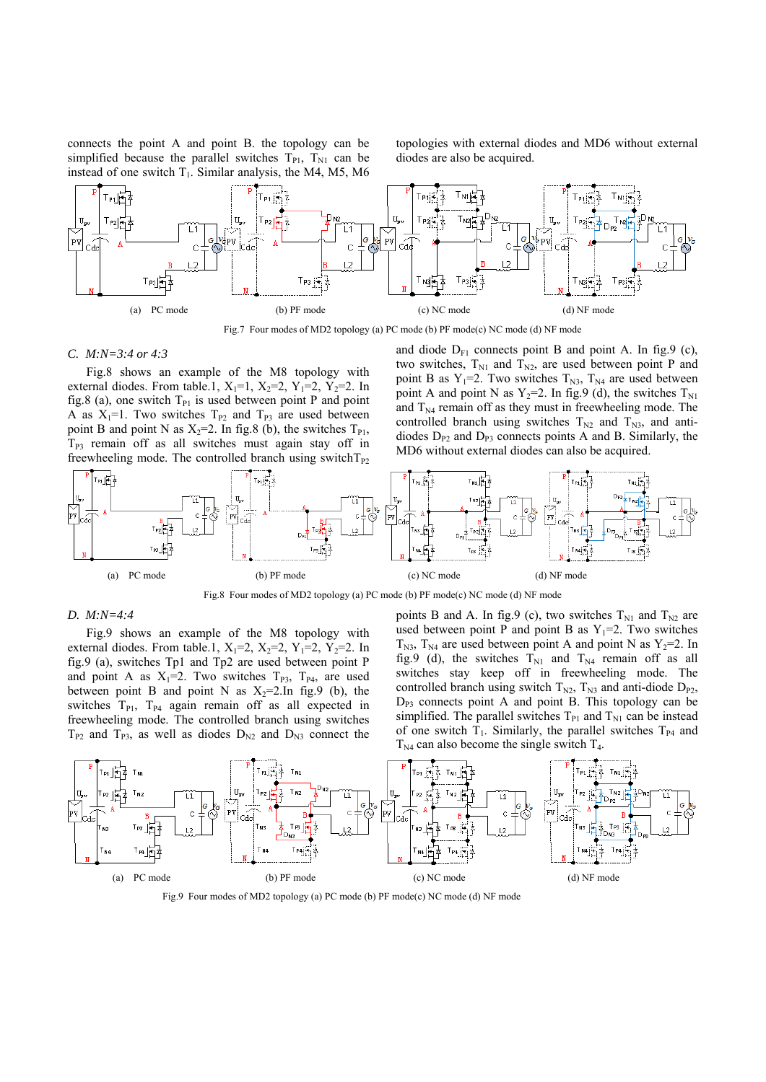connects the point A and point B. the topology can be simplified because the parallel switches  $T_{P1}$ ,  $T_{N1}$  can be instead of one switch  $T_1$ . Similar analysis, the M4, M5, M6 topologies with external diodes and MD6 without external diodes are also be acquired.



Fig.7 Four modes of MD2 topology (a) PC mode (b) PF mode(c) NC mode (d) NF mode

#### *C. M:N=3:4 or 4:3*

Fig.8 shows an example of the M8 topology with external diodes. From table.1,  $X_1=1$ ,  $X_2=2$ ,  $Y_1=2$ ,  $Y_2=2$ . In fig.8 (a), one switch  $T_{P1}$  is used between point P and point A as  $X_1=1$ . Two switches  $T_{P2}$  and  $T_{P3}$  are used between point B and point N as  $X_2=2$ . In fig.8 (b), the switches  $T_{P1}$ ,  $T_{P3}$  remain off as all switches must again stay off in freewheeling mode. The controlled branch using switch $T_{P2}$  and diode  $D_{F1}$  connects point B and point A. In fig.9 (c), two switches,  $T_{N1}$  and  $T_{N2}$ , are used between point P and point B as  $Y_1=2$ . Two switches  $T_{N3}$ ,  $T_{N4}$  are used between point A and point N as  $Y_2=2$ . In fig. 9 (d), the switches  $T_{N1}$ and  $T_{N4}$  remain off as they must in freewheeling mode. The controlled branch using switches  $T_{N2}$  and  $T_{N3}$ , and antidiodes  $D_{P2}$  and  $D_{P3}$  connects points A and B. Similarly, the MD6 without external diodes can also be acquired.



Fig.8 Four modes of MD2 topology (a) PC mode (b) PF mode(c) NC mode (d) NF mode

#### *D. M:N=4:4*

Fig.9 shows an example of the M8 topology with external diodes. From table.1,  $X_1=2$ ,  $X_2=2$ ,  $Y_1=2$ ,  $Y_2=2$ . In fig.9 (a), switches Tp1 and Tp2 are used between point P and point A as  $X_1=2$ . Two switches  $T_{P3}$ ,  $T_{P4}$ , are used between point B and point N as  $X_2=2$ . In fig. 9 (b), the switches  $T_{P1}$ ,  $T_{P4}$  again remain off as all expected in freewheeling mode. The controlled branch using switches  $T_{P2}$  and  $T_{P3}$ , as well as diodes  $D_{N2}$  and  $D_{N3}$  connect the points B and A. In fig.9 (c), two switches  $T_{N1}$  and  $T_{N2}$  are used between point P and point B as  $Y_1=2$ . Two switches  $T_{N3}$ ,  $T_{N4}$  are used between point A and point N as  $Y_2=2$ . In fig.9 (d), the switches  $T_{N1}$  and  $T_{N4}$  remain off as all switches stay keep off in freewheeling mode. The controlled branch using switch  $T_{N2}$ ,  $T_{N3}$  and anti-diode  $D_{P2}$ ,  $D_{P3}$  connects point A and point B. This topology can be simplified. The parallel switches  $T_{P1}$  and  $T_{N1}$  can be instead of one switch  $T_1$ . Similarly, the parallel switches  $T_{P4}$  and  $T_{\text{N4}}$  can also become the single switch  $T_{4}$ .



Fig.9 Four modes of MD2 topology (a) PC mode (b) PF mode(c) NC mode (d) NF mode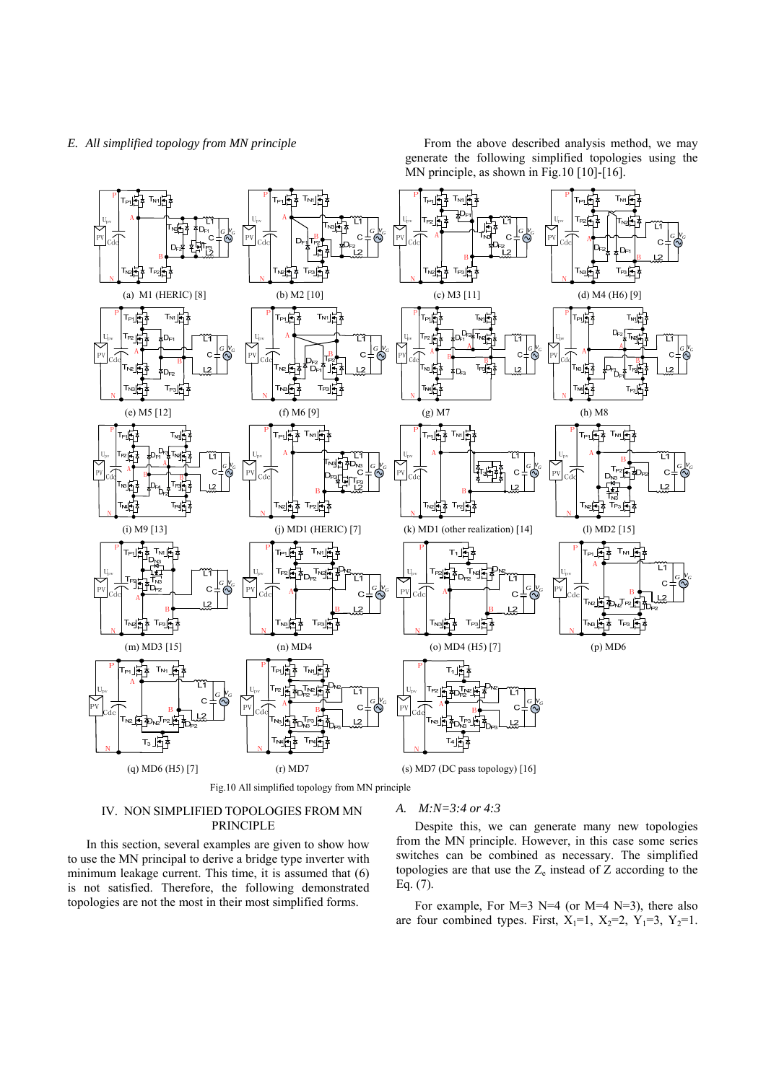*E.* All simplified topology from MN principle **From** the above described analysis method, we may generate the following simplified topologies using the MN principle, as shown in Fig.10 [10]-[16].



# IV. NON SIMPLIFIED TOPOLOGIES FROM MN PRINCIPLE

In this section, several examples are given to show how to use the MN principal to derive a bridge type inverter with minimum leakage current. This time, it is assumed that (6) is not satisfied. Therefore, the following demonstrated topologies are not the most in their most simplified forms.

### *A. M:N=3:4 or 4:3*

Despite this, we can generate many new topologies from the MN principle. However, in this case some series switches can be combined as necessary. The simplified topologies are that use the  $Z_e$  instead of  $Z$  according to the Eq. (7).

For example, For  $M=3$  N=4 (or  $M=4$  N=3), there also are four combined types. First,  $X_1=1$ ,  $X_2=2$ ,  $Y_1=3$ ,  $Y_2=1$ .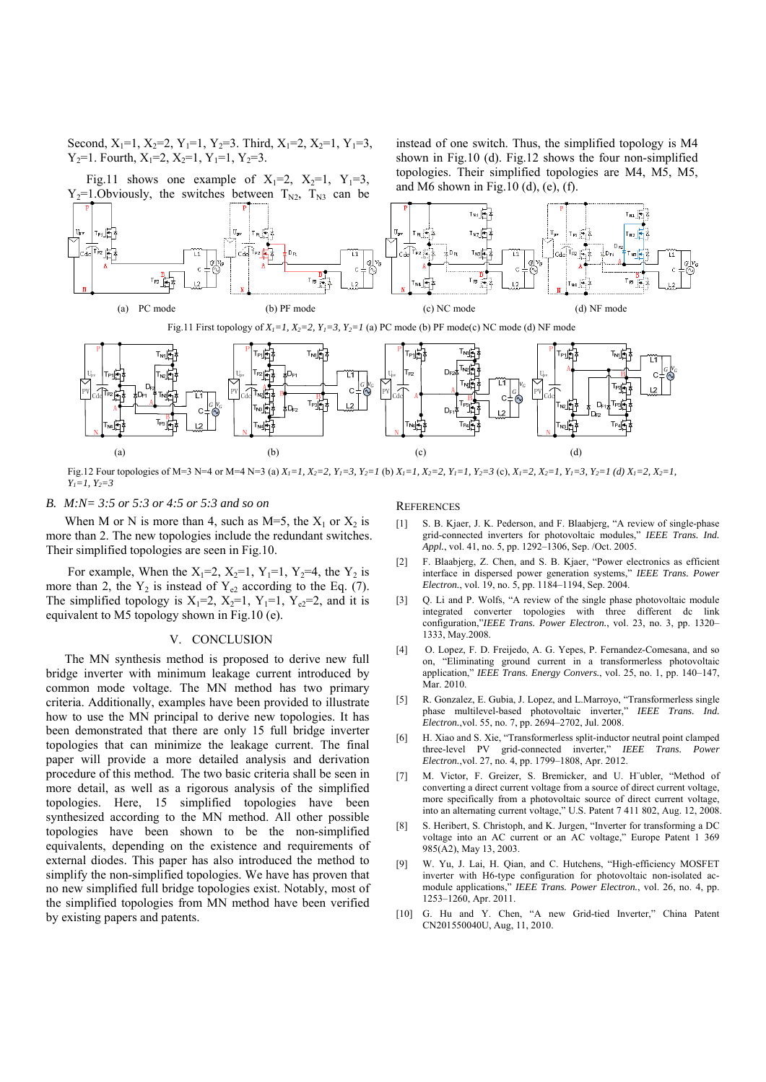Second,  $X_1=1$ ,  $X_2=2$ ,  $Y_1=1$ ,  $Y_2=3$ . Third,  $X_1=2$ ,  $X_2=1$ ,  $Y_1=3$ ,  $Y_2=1$ . Fourth,  $X_1=2$ ,  $X_2=1$ ,  $Y_1=1$ ,  $Y_2=3$ .

Fig.11 shows one example of  $X_1=2$ ,  $X_2=1$ ,  $Y_1=3$ ,

instead of one switch. Thus, the simplified topology is M4 shown in Fig.10 (d). Fig.12 shows the four non-simplified topologies. Their simplified topologies are M4, M5, M5, and M6 shown in Fig.10 (d), (e), (f).



Fig.11 First topology of  $X_1 = 1$ ,  $X_2 = 2$ ,  $Y_1 = 3$ ,  $Y_2 = 1$  (a) PC mode (b) PF mode(c) NC mode (d) NF mode



Fig.12 Four topologies of M=3 N=4 or M=4 N=3 (a)  $X_1=1$ ,  $X_2=2$ ,  $Y_1=3$ ,  $Y_2=1$  (b)  $X_1=1$ ,  $X_2=2$ ,  $Y_1=1$ ,  $Y_2=3$  (c),  $X_1=2$ ,  $X_2=1$ ,  $Y_1=3$ ,  $Y_2=1$  (d)  $X_1=2$ ,  $X_2=1$ , *Y1=1, Y2=3* 

*B. M:N= 3:5 or 5:3 or 4:5 or 5:3 and so on* 

When M or N is more than 4, such as  $M=5$ , the  $X_1$  or  $X_2$  is more than 2. The new topologies include the redundant switches. Their simplified topologies are seen in Fig.10.

For example, When the  $X_1=2$ ,  $X_2=1$ ,  $Y_1=1$ ,  $Y_2=4$ , the  $Y_2$  is more than 2, the  $Y_2$  is instead of  $Y_{e2}$  according to the Eq. (7). The simplified topology is  $X_1=2$ ,  $X_2=1$ ,  $Y_1=1$ ,  $Y_{e2}=2$ , and it is equivalent to M5 topology shown in Fig.10 (e).

# V. CONCLUSION

The MN synthesis method is proposed to derive new full bridge inverter with minimum leakage current introduced by common mode voltage. The MN method has two primary criteria. Additionally, examples have been provided to illustrate how to use the MN principal to derive new topologies. It has been demonstrated that there are only 15 full bridge inverter topologies that can minimize the leakage current. The final paper will provide a more detailed analysis and derivation procedure of this method. The two basic criteria shall be seen in more detail, as well as a rigorous analysis of the simplified topologies. Here, 15 simplified topologies have been synthesized according to the MN method. All other possible topologies have been shown to be the non-simplified equivalents, depending on the existence and requirements of external diodes. This paper has also introduced the method to simplify the non-simplified topologies. We have has proven that no new simplified full bridge topologies exist. Notably, most of the simplified topologies from MN method have been verified by existing papers and patents.

# **REFERENCES**

- [1] S. B. Kjaer, J. K. Pederson, and F. Blaabjerg, "A review of single-phase grid-connected inverters for photovoltaic modules," *IEEE Trans. Ind. Appl.*, vol. 41, no. 5, pp. 1292–1306, Sep. /Oct. 2005.
- [2] F. Blaabjerg, Z. Chen, and S. B. Kjaer, "Power electronics as efficient interface in dispersed power generation systems," *IEEE Trans. Power Electron.*, vol. 19, no. 5, pp. 1184–1194, Sep. 2004.
- [3] O. Li and P. Wolfs, "A review of the single phase photovoltaic module integrated converter topologies with three different dc link configuration,"*IEEE Trans. Power Electron.*, vol. 23, no. 3, pp. 1320– 1333, May.2008.
- [4] O. Lopez, F. D. Freijedo, A. G. Yepes, P. Fernandez-Comesana, and so on, "Eliminating ground current in a transformerless photovoltaic application," *IEEE Trans. Energy Convers.*, vol. 25, no. 1, pp. 140–147, Mar. 2010.
- [5] R. Gonzalez, E. Gubia, J. Lopez, and L.Marroyo, "Transformerless single phase multilevel-based photovoltaic inverter," *IEEE Trans. Ind. Electron.*,vol. 55, no. 7, pp. 2694–2702, Jul. 2008.
- [6] H. Xiao and S. Xie, "Transformerless split-inductor neutral point clamped three-level PV grid-connected inverter," *IEEE Trans. Power Electron.*,vol. 27, no. 4, pp. 1799–1808, Apr. 2012.
- [7] M. Victor, F. Greizer, S. Bremicker, and U. H¨ubler, "Method of converting a direct current voltage from a source of direct current voltage, more specifically from a photovoltaic source of direct current voltage, into an alternating current voltage," U.S. Patent 7 411 802, Aug. 12, 2008.
- [8] S. Heribert, S. Christoph, and K. Jurgen, "Inverter for transforming a DC voltage into an AC current or an AC voltage," Europe Patent 1 369 985(A2), May 13, 2003.
- [9] W. Yu, J. Lai, H. Qian, and C. Hutchens, "High-efficiency MOSFET inverter with H6-type configuration for photovoltaic non-isolated acmodule applications," *IEEE Trans. Power Electron.*, vol. 26, no. 4, pp. 1253–1260, Apr. 2011.
- [10] G. Hu and Y. Chen, "A new Grid-tied Inverter," China Patent CN201550040U, Aug, 11, 2010.